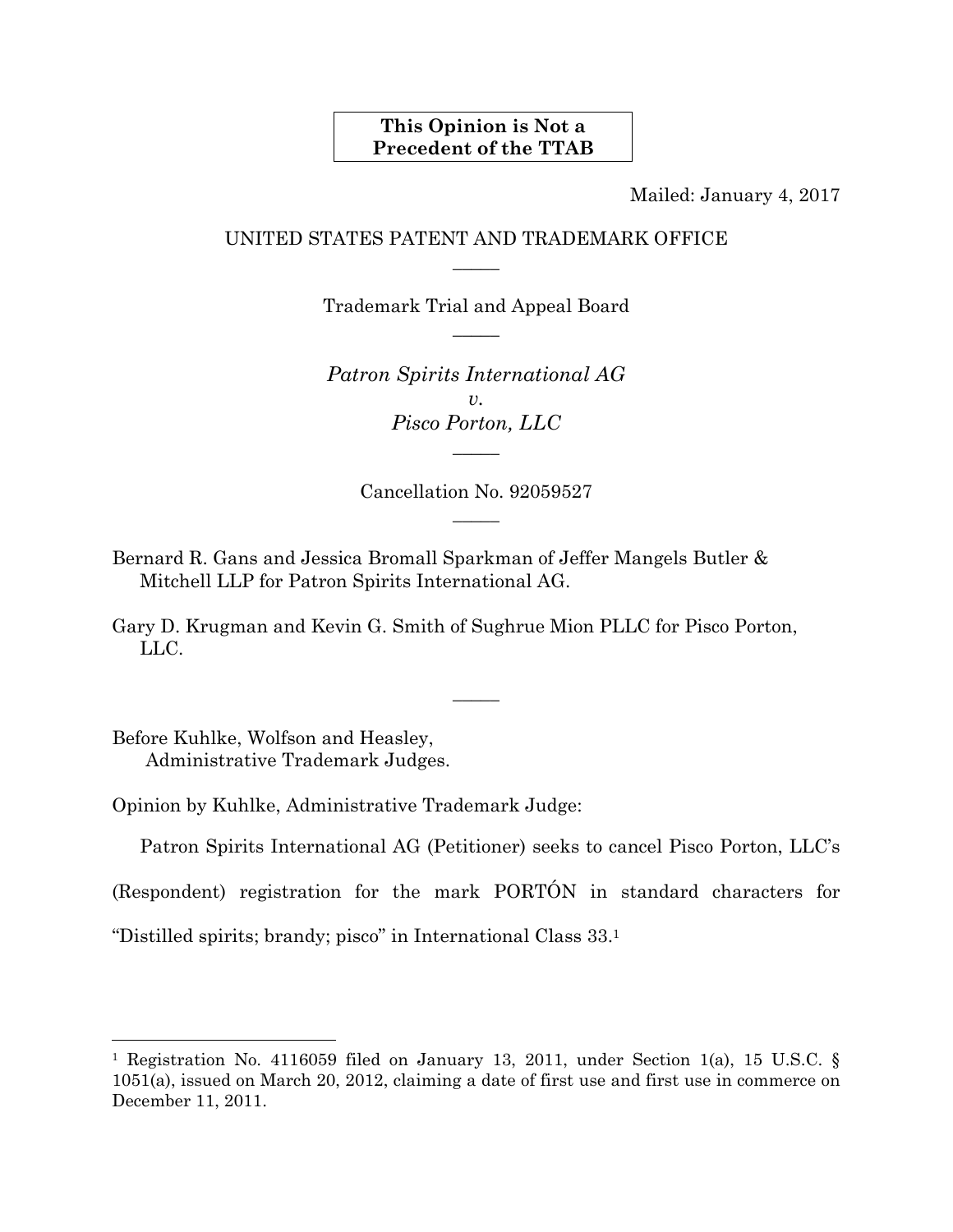# **This Opinion is Not a Precedent of the TTAB**

Mailed: January 4, 2017

# UNITED STATES PATENT AND TRADEMARK OFFICE  $\overline{\phantom{a}}$

Trademark Trial and Appeal Board  $\overline{\phantom{a}}$ 

*Patron Spirits International AG*   $v<sub>r</sub>$ *Pisco Porton, LLC*   $\overline{\phantom{a}}$ 

> Cancellation No. 92059527  $\overline{\phantom{a}}$

Bernard R. Gans and Jessica Bromall Sparkman of Jeffer Mangels Butler & Mitchell LLP for Patron Spirits International AG.

Gary D. Krugman and Kevin G. Smith of Sughrue Mion PLLC for Pisco Porton, LLC.

 $\overline{\phantom{a}}$ 

Before Kuhlke, Wolfson and Heasley, Administrative Trademark Judges.

l

Opinion by Kuhlke, Administrative Trademark Judge:

Patron Spirits International AG (Petitioner) seeks to cancel Pisco Porton, LLC's

(Respondent) registration for the mark PORTÓN in standard characters for

"Distilled spirits; brandy; pisco" in International Class 33.1

<sup>&</sup>lt;sup>1</sup> Registration No. 4116059 filed on January 13, 2011, under Section 1(a), 15 U.S.C. § 1051(a), issued on March 20, 2012, claiming a date of first use and first use in commerce on December 11, 2011.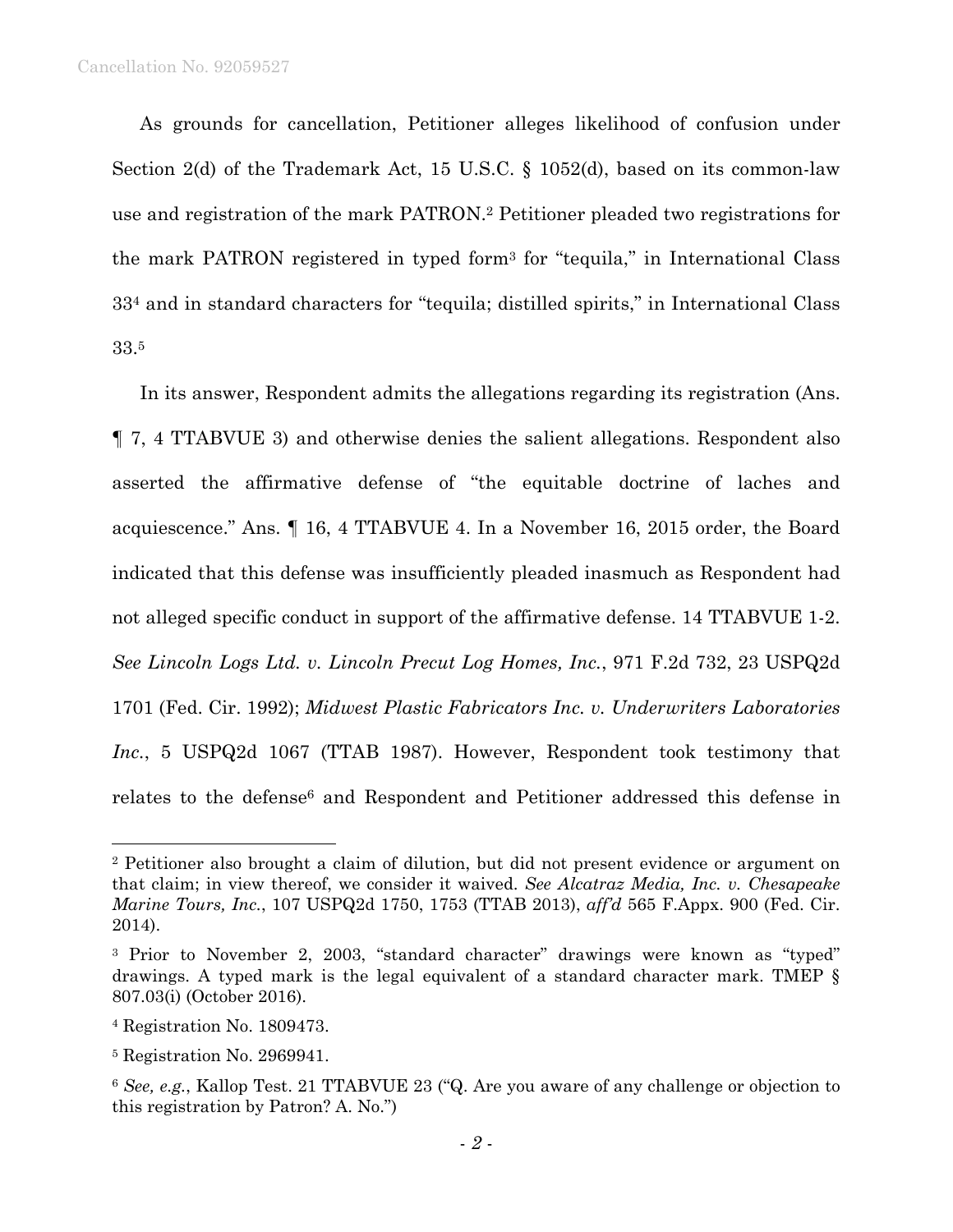As grounds for cancellation, Petitioner alleges likelihood of confusion under Section 2(d) of the Trademark Act, 15 U.S.C. § 1052(d), based on its common-law use and registration of the mark PATRON.2 Petitioner pleaded two registrations for the mark PATRON registered in typed form3 for "tequila," in International Class 334 and in standard characters for "tequila; distilled spirits," in International Class 33.5

 In its answer, Respondent admits the allegations regarding its registration (Ans. ¶ 7, 4 TTABVUE 3) and otherwise denies the salient allegations. Respondent also asserted the affirmative defense of "the equitable doctrine of laches and acquiescence." Ans. ¶ 16, 4 TTABVUE 4. In a November 16, 2015 order, the Board indicated that this defense was insufficiently pleaded inasmuch as Respondent had not alleged specific conduct in support of the affirmative defense. 14 TTABVUE 1-2. *See Lincoln Logs Ltd. v. Lincoln Precut Log Homes, Inc.*, 971 F.2d 732, 23 USPQ2d 1701 (Fed. Cir. 1992); *Midwest Plastic Fabricators Inc. v. Underwriters Laboratories Inc.*, 5 USPQ2d 1067 (TTAB 1987). However, Respondent took testimony that relates to the defense<sup>6</sup> and Respondent and Petitioner addressed this defense in

1

<sup>2</sup> Petitioner also brought a claim of dilution, but did not present evidence or argument on that claim; in view thereof, we consider it waived. *See Alcatraz Media, Inc. v. Chesapeake Marine Tours, Inc.*, 107 USPQ2d 1750, 1753 (TTAB 2013), *aff'd* 565 F.Appx. 900 (Fed. Cir. 2014).

<sup>3</sup> Prior to November 2, 2003, "standard character" drawings were known as "typed" drawings. A typed mark is the legal equivalent of a standard character mark. TMEP § 807.03(i) (October 2016).

<sup>4</sup> Registration No. 1809473.

<sup>5</sup> Registration No. 2969941.

<sup>6</sup> *See, e.g.*, Kallop Test. 21 TTABVUE 23 ("Q. Are you aware of any challenge or objection to this registration by Patron? A. No.")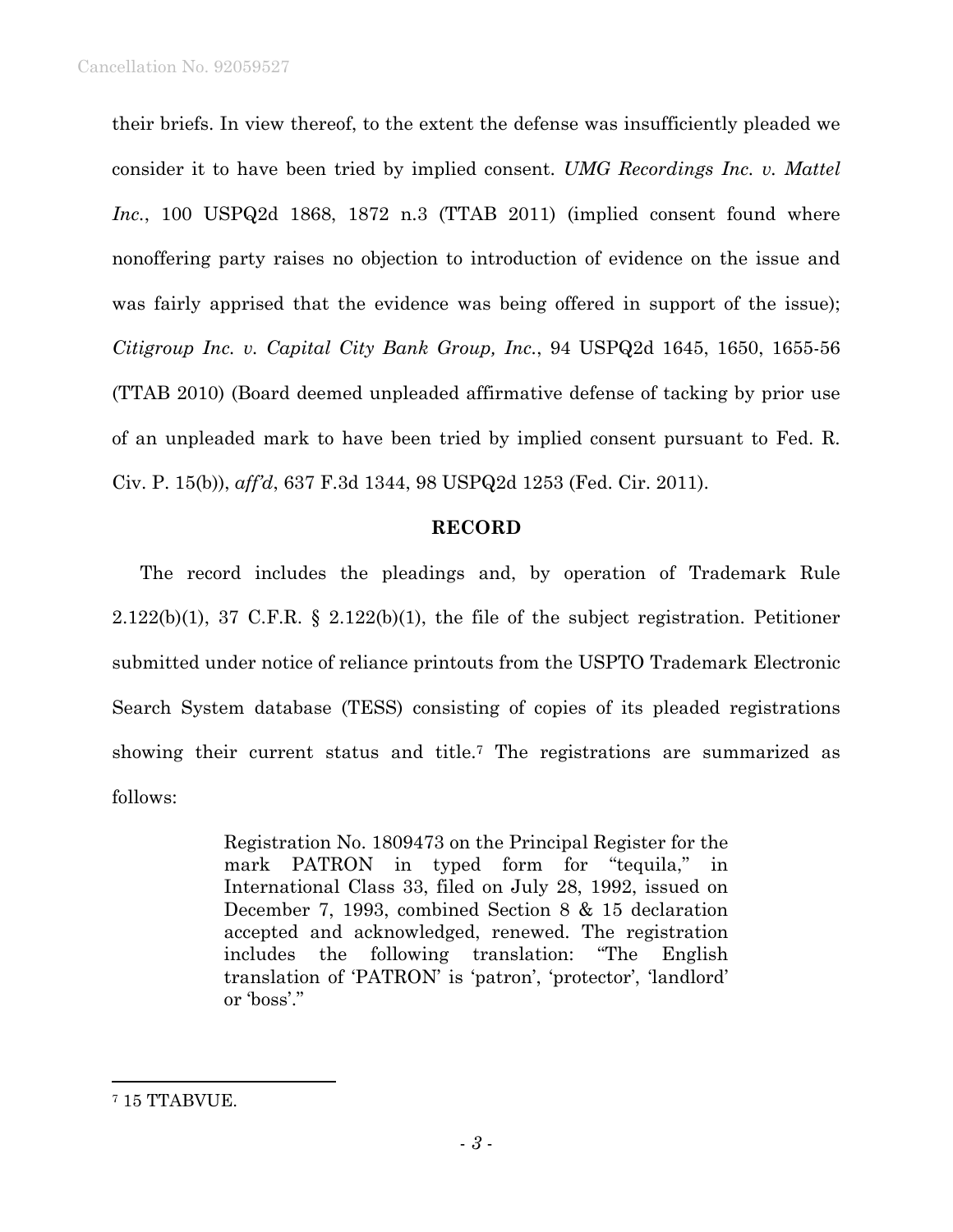their briefs. In view thereof, to the extent the defense was insufficiently pleaded we consider it to have been tried by implied consent. *UMG Recordings Inc. v. Mattel Inc.*, 100 USPQ2d 1868, 1872 n.3 (TTAB 2011) (implied consent found where nonoffering party raises no objection to introduction of evidence on the issue and was fairly apprised that the evidence was being offered in support of the issue); *Citigroup Inc. v. Capital City Bank Group, Inc.*, 94 USPQ2d 1645, 1650, 1655-56 (TTAB 2010) (Board deemed unpleaded affirmative defense of tacking by prior use of an unpleaded mark to have been tried by implied consent pursuant to Fed. R. Civ. P. 15(b)), *aff'd*, 637 F.3d 1344, 98 USPQ2d 1253 (Fed. Cir. 2011).

# **RECORD**

The record includes the pleadings and, by operation of Trademark Rule  $2.122(b)(1)$ , 37 C.F.R. § 2.122(b)(1), the file of the subject registration. Petitioner submitted under notice of reliance printouts from the USPTO Trademark Electronic Search System database (TESS) consisting of copies of its pleaded registrations showing their current status and title.7 The registrations are summarized as follows:

> Registration No. 1809473 on the Principal Register for the mark PATRON in typed form for "tequila," in International Class 33, filed on July 28, 1992, issued on December 7, 1993, combined Section 8 & 15 declaration accepted and acknowledged, renewed. The registration includes the following translation: "The English translation of 'PATRON' is 'patron', 'protector', 'landlord' or 'boss'."

 $\overline{a}$ 

<sup>7 15</sup> TTABVUE.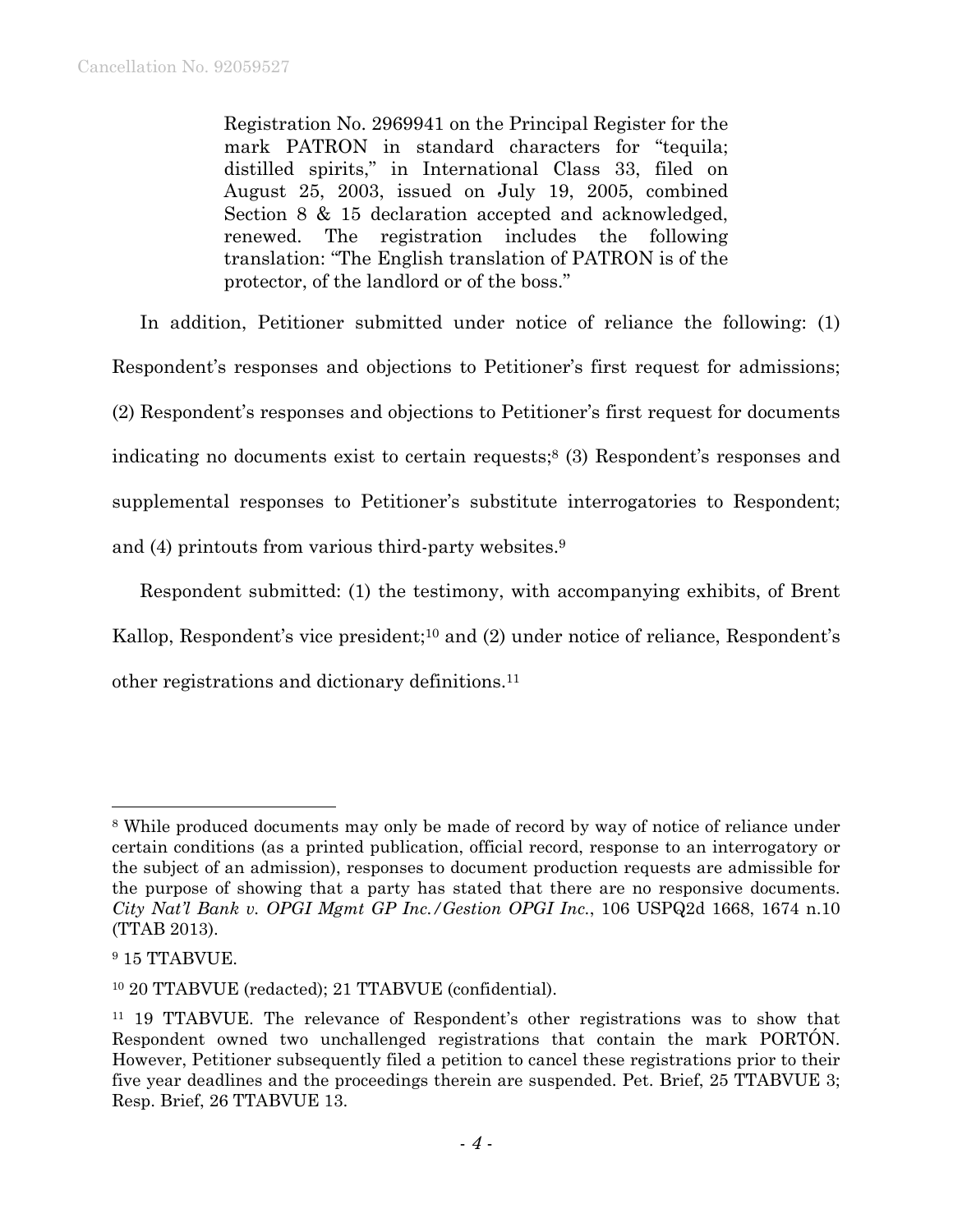Registration No. 2969941 on the Principal Register for the mark PATRON in standard characters for "tequila; distilled spirits," in International Class 33, filed on August 25, 2003, issued on July 19, 2005, combined Section 8 & 15 declaration accepted and acknowledged, renewed. The registration includes the following translation: "The English translation of PATRON is of the protector, of the landlord or of the boss."

In addition, Petitioner submitted under notice of reliance the following: (1) Respondent's responses and objections to Petitioner's first request for admissions; (2) Respondent's responses and objections to Petitioner's first request for documents indicating no documents exist to certain requests;8 (3) Respondent's responses and supplemental responses to Petitioner's substitute interrogatories to Respondent; and (4) printouts from various third-party websites.9

Respondent submitted: (1) the testimony, with accompanying exhibits, of Brent Kallop, Respondent's vice president;<sup>10</sup> and (2) under notice of reliance, Respondent's other registrations and dictionary definitions.11

 $\overline{a}$ 

<sup>&</sup>lt;sup>8</sup> While produced documents may only be made of record by way of notice of reliance under certain conditions (as a printed publication, official record, response to an interrogatory or the subject of an admission), responses to document production requests are admissible for the purpose of showing that a party has stated that there are no responsive documents. *City Nat'l Bank v. OPGI Mgmt GP Inc./Gestion OPGI Inc.*, 106 USPQ2d 1668, 1674 n.10 (TTAB 2013).

<sup>&</sup>lt;sup>9</sup> 15 TTABVUE.

<sup>10 20</sup> TTABVUE (redacted); 21 TTABVUE (confidential).

<sup>11 19</sup> TTABVUE. The relevance of Respondent's other registrations was to show that Respondent owned two unchallenged registrations that contain the mark PORTÓN. However, Petitioner subsequently filed a petition to cancel these registrations prior to their five year deadlines and the proceedings therein are suspended. Pet. Brief, 25 TTABVUE 3; Resp. Brief, 26 TTABVUE 13.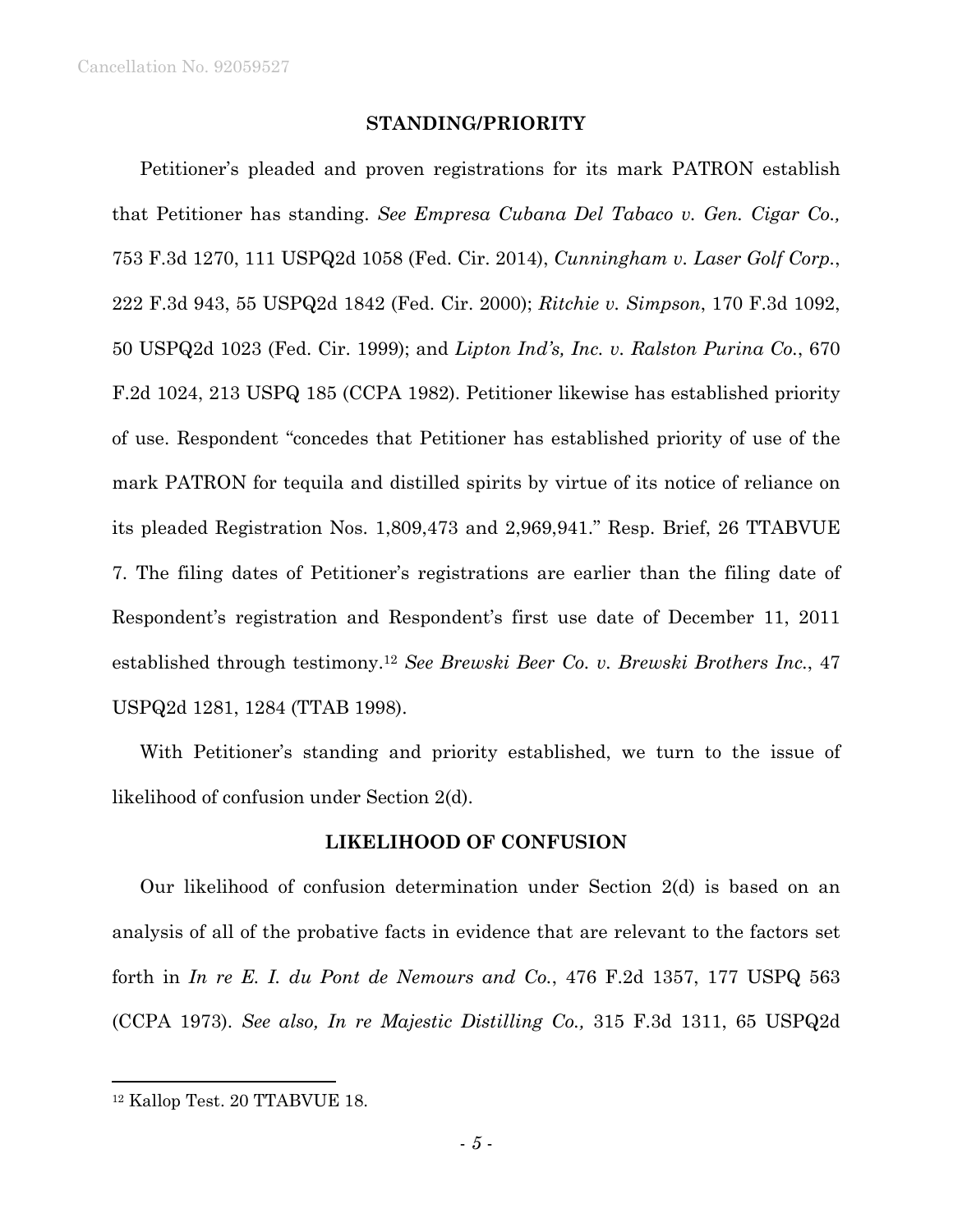### **STANDING/PRIORITY**

Petitioner's pleaded and proven registrations for its mark PATRON establish that Petitioner has standing. *See Empresa Cubana Del Tabaco v. Gen. Cigar Co.,*  753 F.3d 1270, 111 USPQ2d 1058 (Fed. Cir. 2014), *Cunningham v. Laser Golf Corp.*, 222 F.3d 943, 55 USPQ2d 1842 (Fed. Cir. 2000); *Ritchie v. Simpson*, 170 F.3d 1092, 50 USPQ2d 1023 (Fed. Cir. 1999); and *Lipton Ind's, Inc. v. Ralston Purina Co.*, 670 F.2d 1024, 213 USPQ 185 (CCPA 1982). Petitioner likewise has established priority of use. Respondent "concedes that Petitioner has established priority of use of the mark PATRON for tequila and distilled spirits by virtue of its notice of reliance on its pleaded Registration Nos. 1,809,473 and 2,969,941." Resp. Brief, 26 TTABVUE 7. The filing dates of Petitioner's registrations are earlier than the filing date of Respondent's registration and Respondent's first use date of December 11, 2011 established through testimony.12 *See Brewski Beer Co. v. Brewski Brothers Inc.*, 47 USPQ2d 1281, 1284 (TTAB 1998).

With Petitioner's standing and priority established, we turn to the issue of likelihood of confusion under Section 2(d).

## **LIKELIHOOD OF CONFUSION**

Our likelihood of confusion determination under Section 2(d) is based on an analysis of all of the probative facts in evidence that are relevant to the factors set forth in *In re E. I. du Pont de Nemours and Co.*, 476 F.2d 1357, 177 USPQ 563 (CCPA 1973). *See also, In re Majestic Distilling Co.,* 315 F.3d 1311, 65 USPQ2d

1

<sup>12</sup> Kallop Test. 20 TTABVUE 18.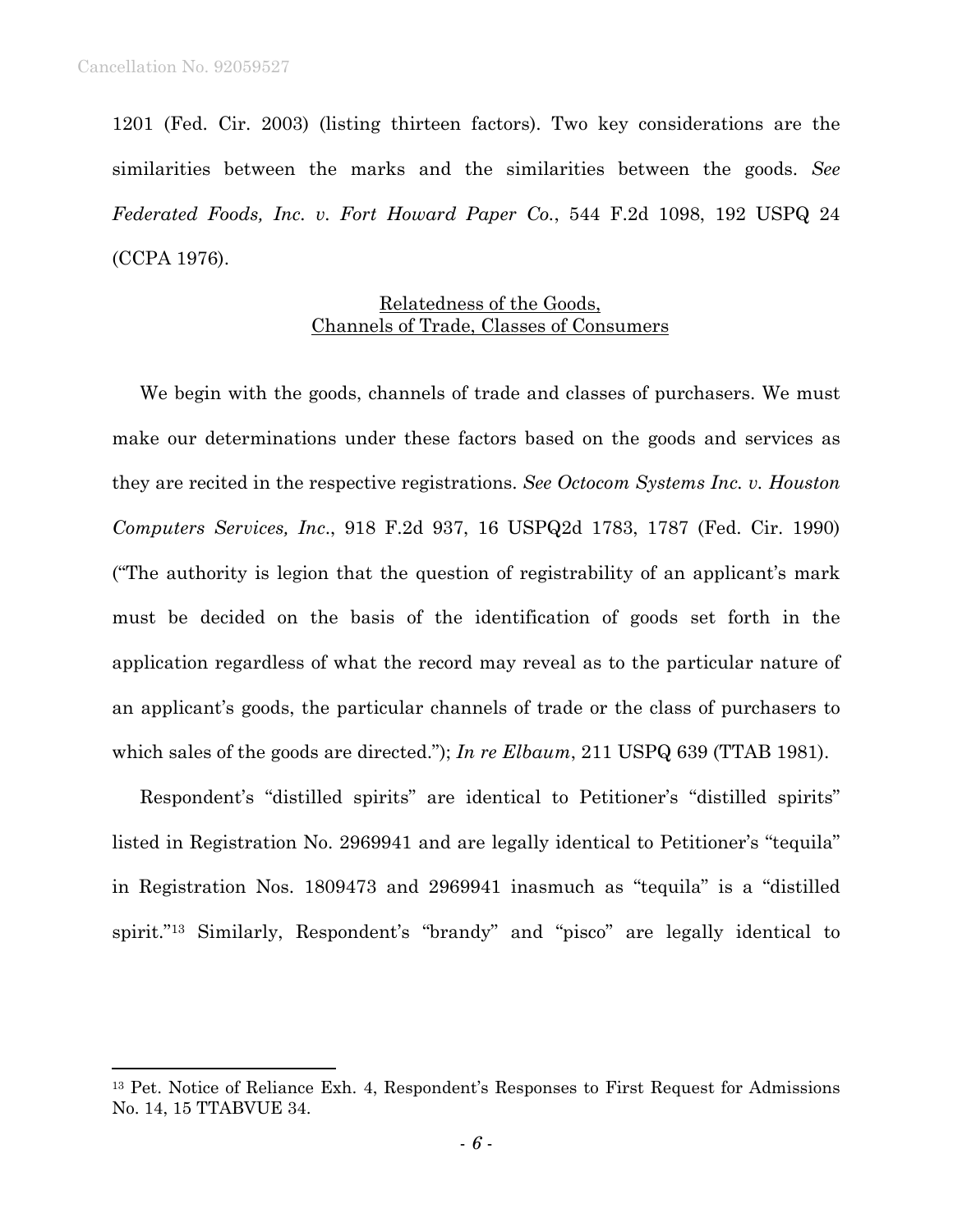1201 (Fed. Cir. 2003) (listing thirteen factors). Two key considerations are the similarities between the marks and the similarities between the goods. *See Federated Foods, Inc. v. Fort Howard Paper Co.*, 544 F.2d 1098, 192 USPQ 24 (CCPA 1976).

# Relatedness of the Goods, Channels of Trade, Classes of Consumers

We begin with the goods, channels of trade and classes of purchasers. We must make our determinations under these factors based on the goods and services as they are recited in the respective registrations. *See Octocom Systems Inc. v. Houston Computers Services, Inc*., 918 F.2d 937, 16 USPQ2d 1783, 1787 (Fed. Cir. 1990) ("The authority is legion that the question of registrability of an applicant's mark must be decided on the basis of the identification of goods set forth in the application regardless of what the record may reveal as to the particular nature of an applicant's goods, the particular channels of trade or the class of purchasers to which sales of the goods are directed."); *In re Elbaum*, 211 USPQ 639 (TTAB 1981).

Respondent's "distilled spirits" are identical to Petitioner's "distilled spirits" listed in Registration No. 2969941 and are legally identical to Petitioner's "tequila" in Registration Nos. 1809473 and 2969941 inasmuch as "tequila" is a "distilled spirit."13 Similarly, Respondent's "brandy" and "pisco" are legally identical to

<sup>13</sup> Pet. Notice of Reliance Exh. 4, Respondent's Responses to First Request for Admissions No. 14, 15 TTABVUE 34.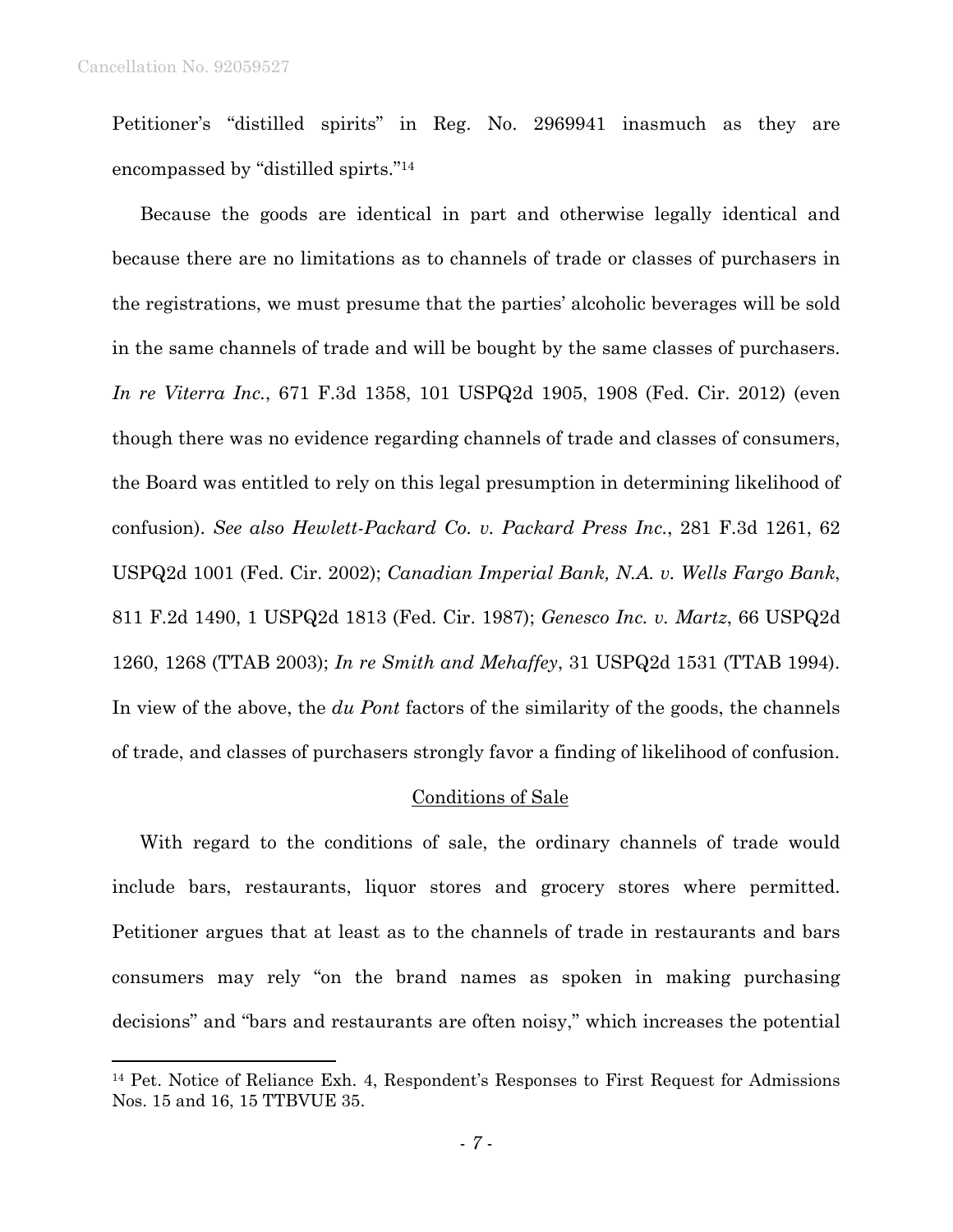Petitioner's "distilled spirits" in Reg. No. 2969941 inasmuch as they are encompassed by "distilled spirts."14

Because the goods are identical in part and otherwise legally identical and because there are no limitations as to channels of trade or classes of purchasers in the registrations, we must presume that the parties' alcoholic beverages will be sold in the same channels of trade and will be bought by the same classes of purchasers. *In re Viterra Inc.*, 671 F.3d 1358, 101 USPQ2d 1905, 1908 (Fed. Cir. 2012) (even though there was no evidence regarding channels of trade and classes of consumers, the Board was entitled to rely on this legal presumption in determining likelihood of confusion). *See also Hewlett-Packard Co. v. Packard Press Inc.*, 281 F.3d 1261, 62 USPQ2d 1001 (Fed. Cir. 2002); *Canadian Imperial Bank, N.A. v. Wells Fargo Bank*, 811 F.2d 1490, 1 USPQ2d 1813 (Fed. Cir. 1987); *Genesco Inc. v. Martz*, 66 USPQ2d 1260, 1268 (TTAB 2003); *In re Smith and Mehaffey*, 31 USPQ2d 1531 (TTAB 1994). In view of the above, the *du Pont* factors of the similarity of the goods, the channels of trade, and classes of purchasers strongly favor a finding of likelihood of confusion.

### Conditions of Sale

With regard to the conditions of sale, the ordinary channels of trade would include bars, restaurants, liquor stores and grocery stores where permitted. Petitioner argues that at least as to the channels of trade in restaurants and bars consumers may rely "on the brand names as spoken in making purchasing decisions" and "bars and restaurants are often noisy," which increases the potential

<sup>14</sup> Pet. Notice of Reliance Exh. 4, Respondent's Responses to First Request for Admissions Nos. 15 and 16, 15 TTBVUE 35.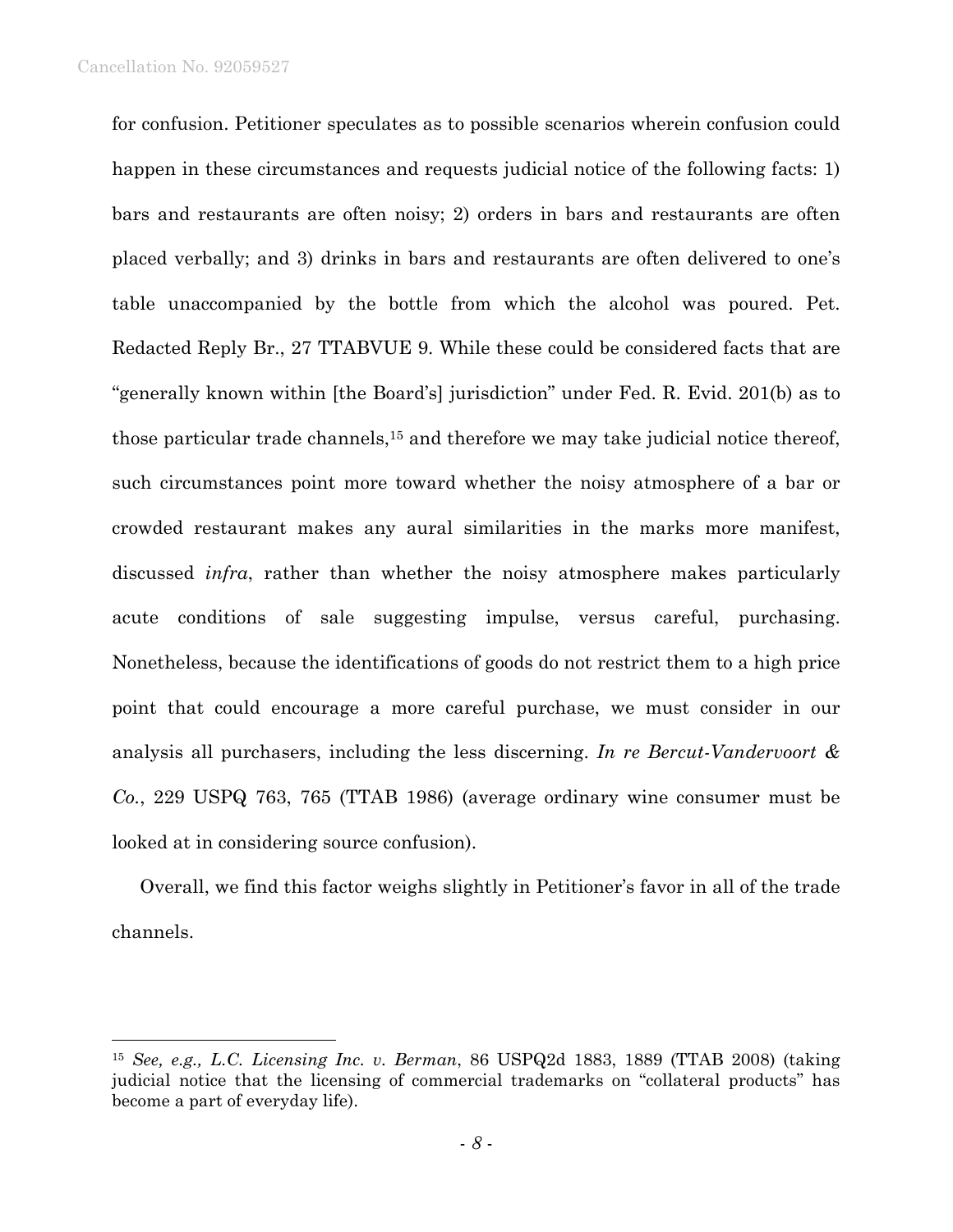l

for confusion. Petitioner speculates as to possible scenarios wherein confusion could happen in these circumstances and requests judicial notice of the following facts: 1) bars and restaurants are often noisy; 2) orders in bars and restaurants are often placed verbally; and 3) drinks in bars and restaurants are often delivered to one's table unaccompanied by the bottle from which the alcohol was poured. Pet. Redacted Reply Br., 27 TTABVUE 9. While these could be considered facts that are "generally known within [the Board's] jurisdiction" under Fed. R. Evid. 201(b) as to those particular trade channels,15 and therefore we may take judicial notice thereof, such circumstances point more toward whether the noisy atmosphere of a bar or crowded restaurant makes any aural similarities in the marks more manifest, discussed *infra*, rather than whether the noisy atmosphere makes particularly acute conditions of sale suggesting impulse, versus careful, purchasing. Nonetheless, because the identifications of goods do not restrict them to a high price point that could encourage a more careful purchase, we must consider in our analysis all purchasers, including the less discerning. *In re Bercut-Vandervoort & Co.*, 229 USPQ 763, 765 (TTAB 1986) (average ordinary wine consumer must be looked at in considering source confusion).

Overall, we find this factor weighs slightly in Petitioner's favor in all of the trade channels.

<sup>15</sup> *See, e.g., L.C. Licensing Inc. v. Berman*, 86 USPQ2d 1883, 1889 (TTAB 2008) (taking judicial notice that the licensing of commercial trademarks on "collateral products" has become a part of everyday life).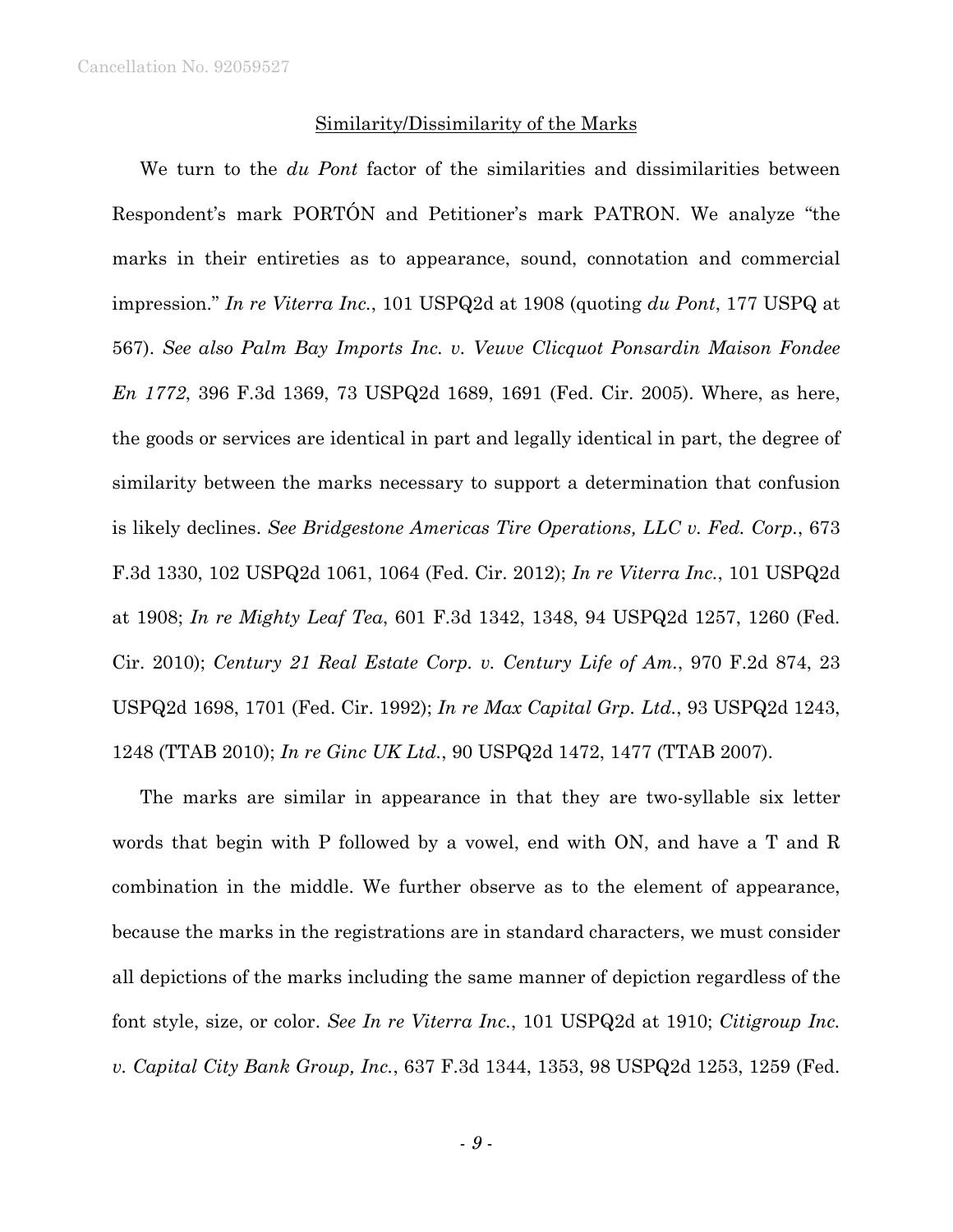### Similarity/Dissimilarity of the Marks

We turn to the *du Pont* factor of the similarities and dissimilarities between Respondent's mark PORTÓN and Petitioner's mark PATRON. We analyze "the marks in their entireties as to appearance, sound, connotation and commercial impression." *In re Viterra Inc.*, 101 USPQ2d at 1908 (quoting *du Pont*, 177 USPQ at 567). *See also Palm Bay Imports Inc. v. Veuve Clicquot Ponsardin Maison Fondee En 1772*, 396 F.3d 1369, 73 USPQ2d 1689, 1691 (Fed. Cir. 2005). Where, as here, the goods or services are identical in part and legally identical in part, the degree of similarity between the marks necessary to support a determination that confusion is likely declines. *See Bridgestone Americas Tire Operations, LLC v. Fed. Corp.*, 673 F.3d 1330, 102 USPQ2d 1061, 1064 (Fed. Cir. 2012); *In re Viterra Inc.*, 101 USPQ2d at 1908; *In re Mighty Leaf Tea*, 601 F.3d 1342, 1348, 94 USPQ2d 1257, 1260 (Fed. Cir. 2010); *Century 21 Real Estate Corp. v. Century Life of Am.*, 970 F.2d 874, 23 USPQ2d 1698, 1701 (Fed. Cir. 1992); *In re Max Capital Grp. Ltd.*, 93 USPQ2d 1243, 1248 (TTAB 2010); *In re Ginc UK Ltd.*, 90 USPQ2d 1472, 1477 (TTAB 2007).

The marks are similar in appearance in that they are two-syllable six letter words that begin with P followed by a vowel, end with ON, and have a T and R combination in the middle. We further observe as to the element of appearance, because the marks in the registrations are in standard characters, we must consider all depictions of the marks including the same manner of depiction regardless of the font style, size, or color. *See In re Viterra Inc.*, 101 USPQ2d at 1910; *Citigroup Inc. v. Capital City Bank Group, Inc.*, 637 F.3d 1344, 1353, 98 USPQ2d 1253, 1259 (Fed.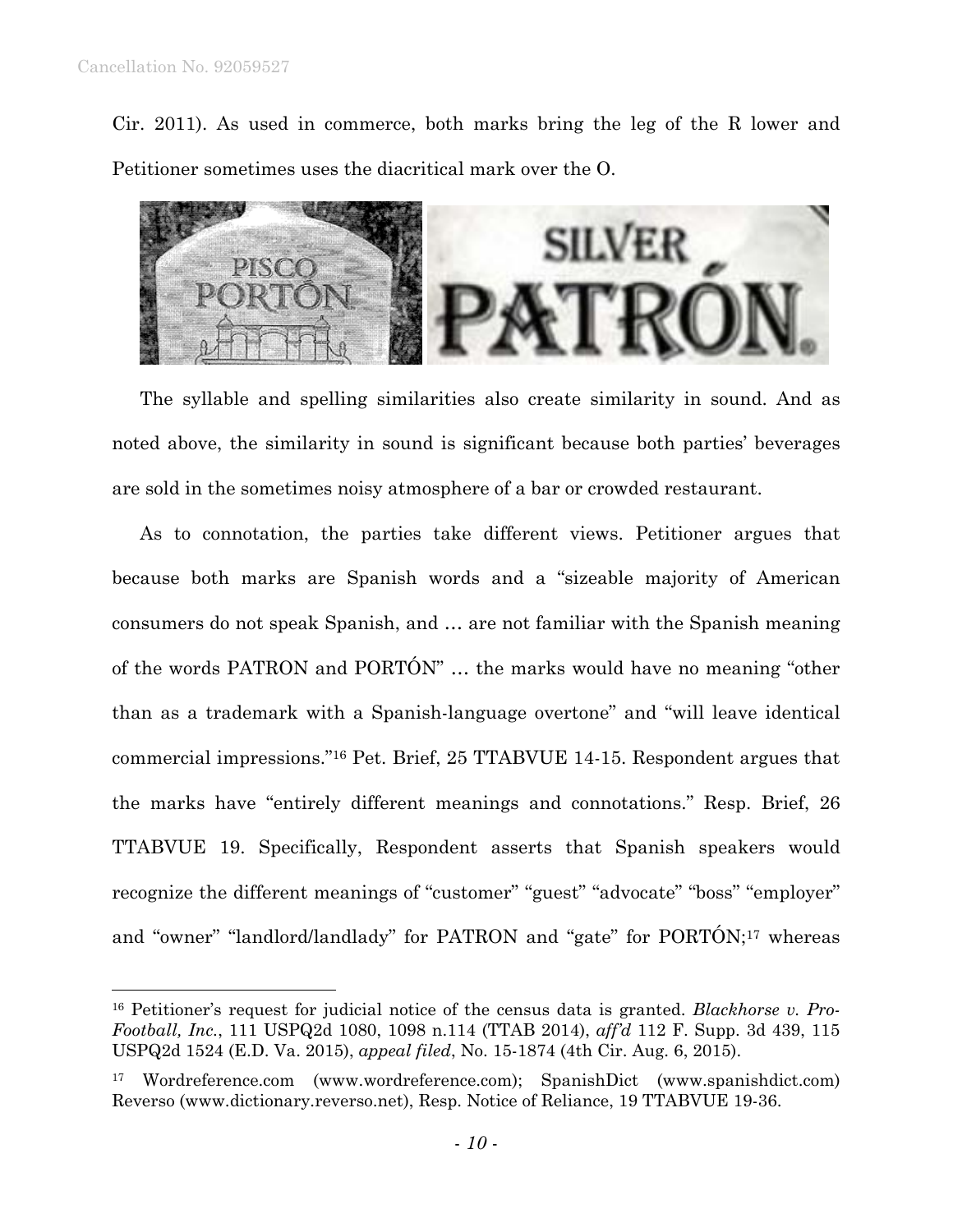1

Cir. 2011). As used in commerce, both marks bring the leg of the R lower and Petitioner sometimes uses the diacritical mark over the O.



The syllable and spelling similarities also create similarity in sound. And as noted above, the similarity in sound is significant because both parties' beverages are sold in the sometimes noisy atmosphere of a bar or crowded restaurant.

As to connotation, the parties take different views. Petitioner argues that because both marks are Spanish words and a "sizeable majority of American consumers do not speak Spanish, and … are not familiar with the Spanish meaning of the words PATRON and PORTÓN" … the marks would have no meaning "other than as a trademark with a Spanish-language overtone" and "will leave identical commercial impressions."16 Pet. Brief, 25 TTABVUE 14-15. Respondent argues that the marks have "entirely different meanings and connotations." Resp. Brief, 26 TTABVUE 19. Specifically, Respondent asserts that Spanish speakers would recognize the different meanings of "customer" "guest" "advocate" "boss" "employer" and "owner" "landlord/landlady" for PATRON and "gate" for PORTÓN;<sup>17</sup> whereas

<sup>16</sup> Petitioner's request for judicial notice of the census data is granted. *Blackhorse v. Pro-Football, Inc.*, 111 USPQ2d 1080, 1098 n.114 (TTAB 2014), *aff'd* 112 F. Supp. 3d 439, 115 USPQ2d 1524 (E.D. Va. 2015), *appeal filed*, No. 15-1874 (4th Cir. Aug. 6, 2015).

<sup>17</sup> Wordreference.com (www.wordreference.com); SpanishDict (www.spanishdict.com) Reverso (www.dictionary.reverso.net), Resp. Notice of Reliance, 19 TTABVUE 19-36.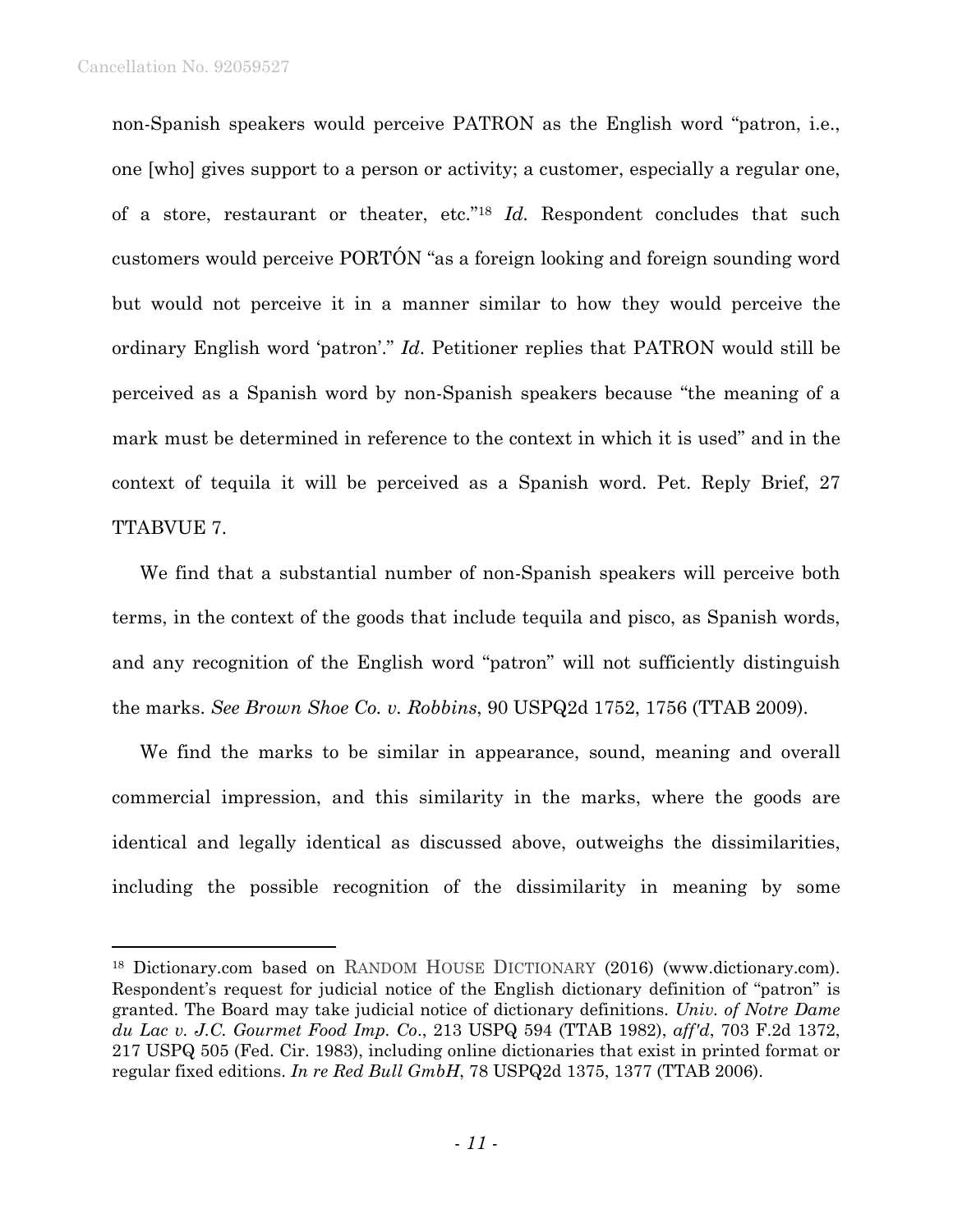non-Spanish speakers would perceive PATRON as the English word "patron, i.e., one [who] gives support to a person or activity; a customer, especially a regular one, of a store, restaurant or theater, etc."18 *Id.* Respondent concludes that such customers would perceive PORTÓN "as a foreign looking and foreign sounding word but would not perceive it in a manner similar to how they would perceive the ordinary English word 'patron'." *Id*. Petitioner replies that PATRON would still be perceived as a Spanish word by non-Spanish speakers because "the meaning of a mark must be determined in reference to the context in which it is used" and in the context of tequila it will be perceived as a Spanish word. Pet. Reply Brief, 27 TTABVUE 7.

We find that a substantial number of non-Spanish speakers will perceive both terms, in the context of the goods that include tequila and pisco, as Spanish words, and any recognition of the English word "patron" will not sufficiently distinguish the marks. *See Brown Shoe Co. v. Robbins*, 90 USPQ2d 1752, 1756 (TTAB 2009).

We find the marks to be similar in appearance, sound, meaning and overall commercial impression, and this similarity in the marks, where the goods are identical and legally identical as discussed above, outweighs the dissimilarities, including the possible recognition of the dissimilarity in meaning by some

<sup>18</sup> Dictionary.com based on RANDOM HOUSE DICTIONARY (2016) (www.dictionary.com). Respondent's request for judicial notice of the English dictionary definition of "patron" is granted. The Board may take judicial notice of dictionary definitions. *Univ. of Notre Dame du Lac v. J.C. Gourmet Food Imp. Co*., 213 USPQ 594 (TTAB 1982), *aff'd*, 703 F.2d 1372, 217 USPQ 505 (Fed. Cir. 1983), including online dictionaries that exist in printed format or regular fixed editions. *In re Red Bull GmbH*, 78 USPQ2d 1375, 1377 (TTAB 2006).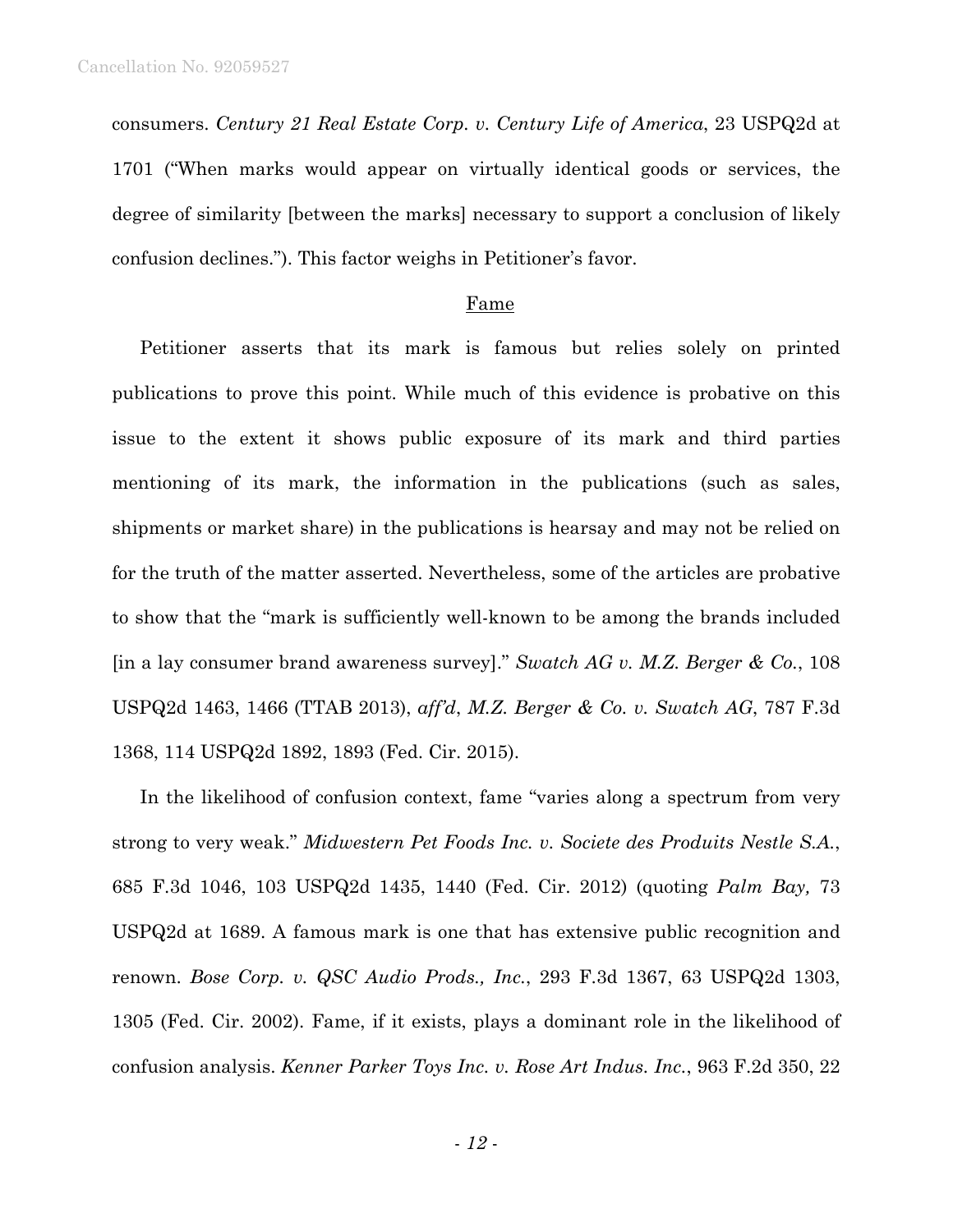consumers. *Century 21 Real Estate Corp. v. Century Life of America*, 23 USPQ2d at 1701 ("When marks would appear on virtually identical goods or services, the degree of similarity [between the marks] necessary to support a conclusion of likely confusion declines."). This factor weighs in Petitioner's favor.

#### Fame

Petitioner asserts that its mark is famous but relies solely on printed publications to prove this point. While much of this evidence is probative on this issue to the extent it shows public exposure of its mark and third parties mentioning of its mark, the information in the publications (such as sales, shipments or market share) in the publications is hearsay and may not be relied on for the truth of the matter asserted. Nevertheless, some of the articles are probative to show that the "mark is sufficiently well-known to be among the brands included [in a lay consumer brand awareness survey]." *Swatch AG v. M.Z. Berger & Co.*, 108 USPQ2d 1463, 1466 (TTAB 2013), *aff'd*, *M.Z. Berger & Co. v. Swatch AG*, 787 F.3d 1368, 114 USPQ2d 1892, 1893 (Fed. Cir. 2015).

In the likelihood of confusion context, fame "varies along a spectrum from very strong to very weak." *Midwestern Pet Foods Inc. v. Societe des Produits Nestle S.A.*, 685 F.3d 1046, 103 USPQ2d 1435, 1440 (Fed. Cir. 2012) (quoting *Palm Bay,* 73 USPQ2d at 1689. A famous mark is one that has extensive public recognition and renown. *Bose Corp. v. QSC Audio Prods., Inc.*, 293 F.3d 1367, 63 USPQ2d 1303, 1305 (Fed. Cir. 2002). Fame, if it exists, plays a dominant role in the likelihood of confusion analysis. *Kenner Parker Toys Inc. v. Rose Art Indus. Inc.*, 963 F.2d 350, 22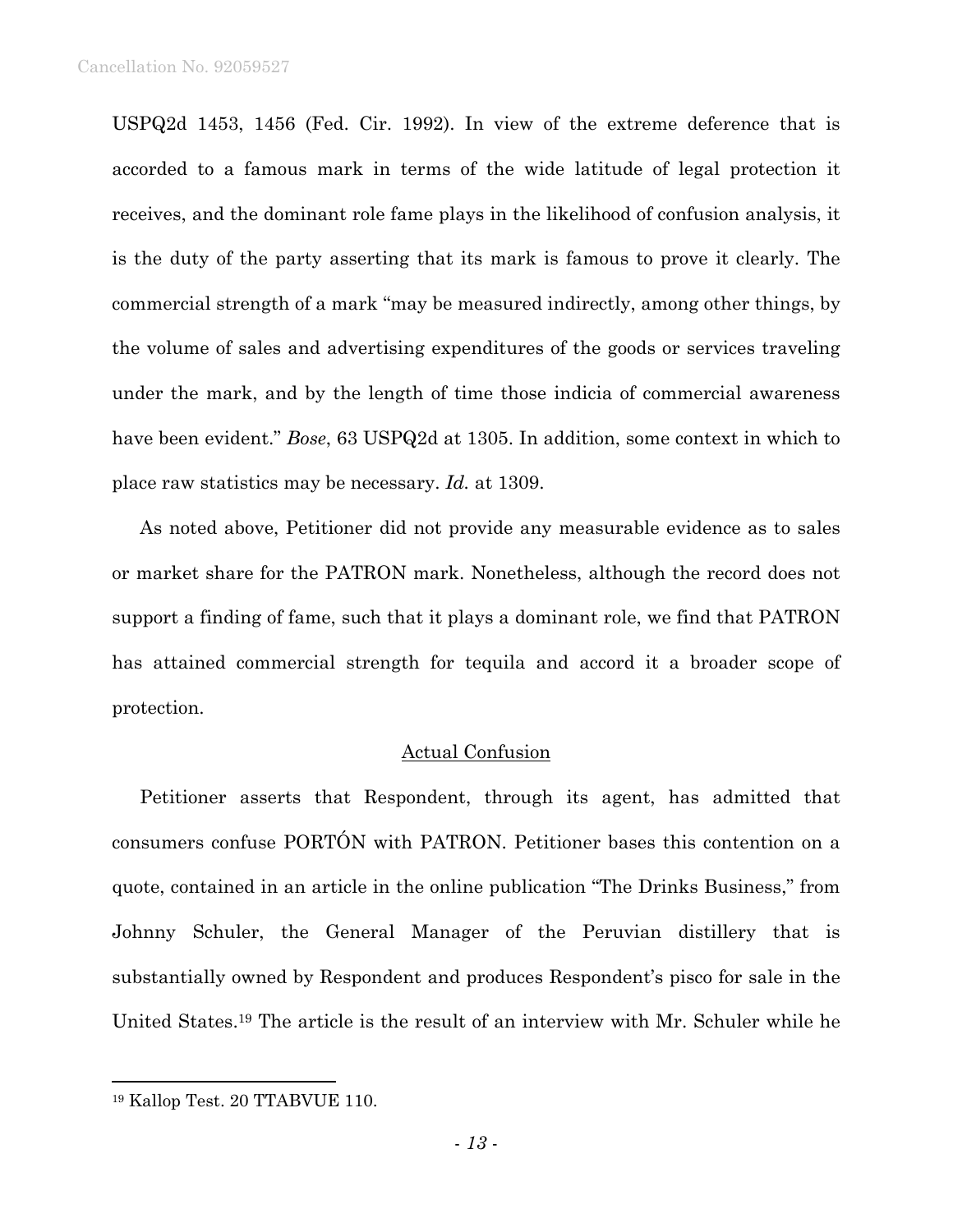USPQ2d 1453, 1456 (Fed. Cir. 1992). In view of the extreme deference that is accorded to a famous mark in terms of the wide latitude of legal protection it receives, and the dominant role fame plays in the likelihood of confusion analysis, it is the duty of the party asserting that its mark is famous to prove it clearly. The commercial strength of a mark "may be measured indirectly, among other things, by the volume of sales and advertising expenditures of the goods or services traveling under the mark, and by the length of time those indicia of commercial awareness have been evident." *Bose*, 63 USPQ2d at 1305. In addition, some context in which to place raw statistics may be necessary. *Id.* at 1309.

As noted above, Petitioner did not provide any measurable evidence as to sales or market share for the PATRON mark. Nonetheless, although the record does not support a finding of fame, such that it plays a dominant role, we find that PATRON has attained commercial strength for tequila and accord it a broader scope of protection.

## Actual Confusion

Petitioner asserts that Respondent, through its agent, has admitted that consumers confuse PORTÓN with PATRON. Petitioner bases this contention on a quote, contained in an article in the online publication "The Drinks Business," from Johnny Schuler, the General Manager of the Peruvian distillery that is substantially owned by Respondent and produces Respondent's pisco for sale in the United States.19 The article is the result of an interview with Mr. Schuler while he

 $\overline{a}$ 

<sup>19</sup> Kallop Test. 20 TTABVUE 110.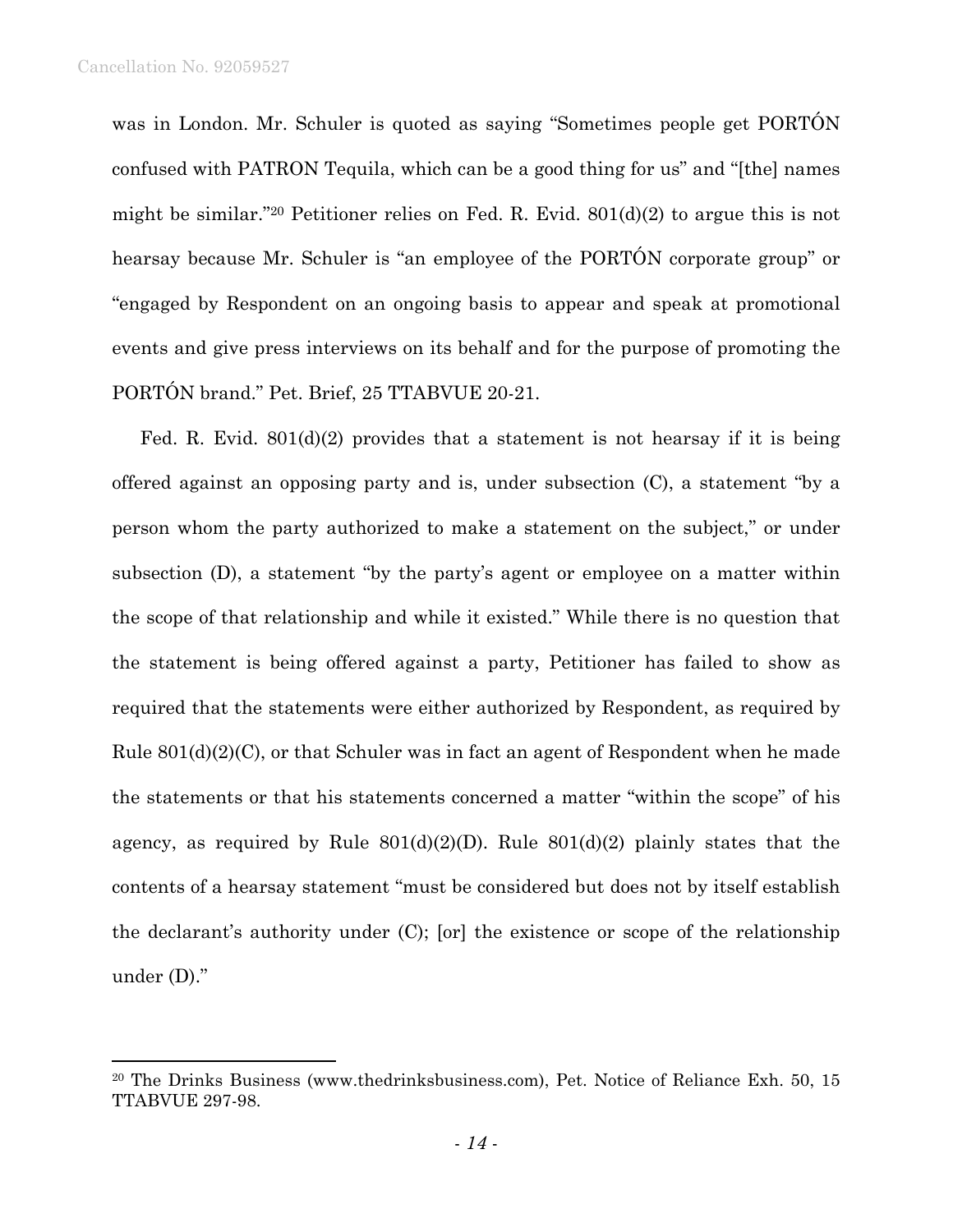was in London. Mr. Schuler is quoted as saying "Sometimes people get PORTÓN confused with PATRON Tequila, which can be a good thing for us" and "[the] names might be similar."20 Petitioner relies on Fed. R. Evid. 801(d)(2) to argue this is not hearsay because Mr. Schuler is "an employee of the PORTÓN corporate group" or "engaged by Respondent on an ongoing basis to appear and speak at promotional events and give press interviews on its behalf and for the purpose of promoting the PORTÓN brand." Pet. Brief, 25 TTABVUE 20-21.

Fed. R. Evid.  $801(d)(2)$  provides that a statement is not hearsay if it is being offered against an opposing party and is, under subsection (C), a statement "by a person whom the party authorized to make a statement on the subject," or under subsection (D), a statement "by the party's agent or employee on a matter within the scope of that relationship and while it existed." While there is no question that the statement is being offered against a party, Petitioner has failed to show as required that the statements were either authorized by Respondent, as required by Rule 801(d)(2)(C), or that Schuler was in fact an agent of Respondent when he made the statements or that his statements concerned a matter "within the scope" of his agency, as required by Rule  $801(d)(2)(D)$ . Rule  $801(d)(2)$  plainly states that the contents of a hearsay statement "must be considered but does not by itself establish the declarant's authority under (C); [or] the existence or scope of the relationship under (D)."

<sup>20</sup> The Drinks Business (www.thedrinksbusiness.com), Pet. Notice of Reliance Exh. 50, 15 TTABVUE 297-98.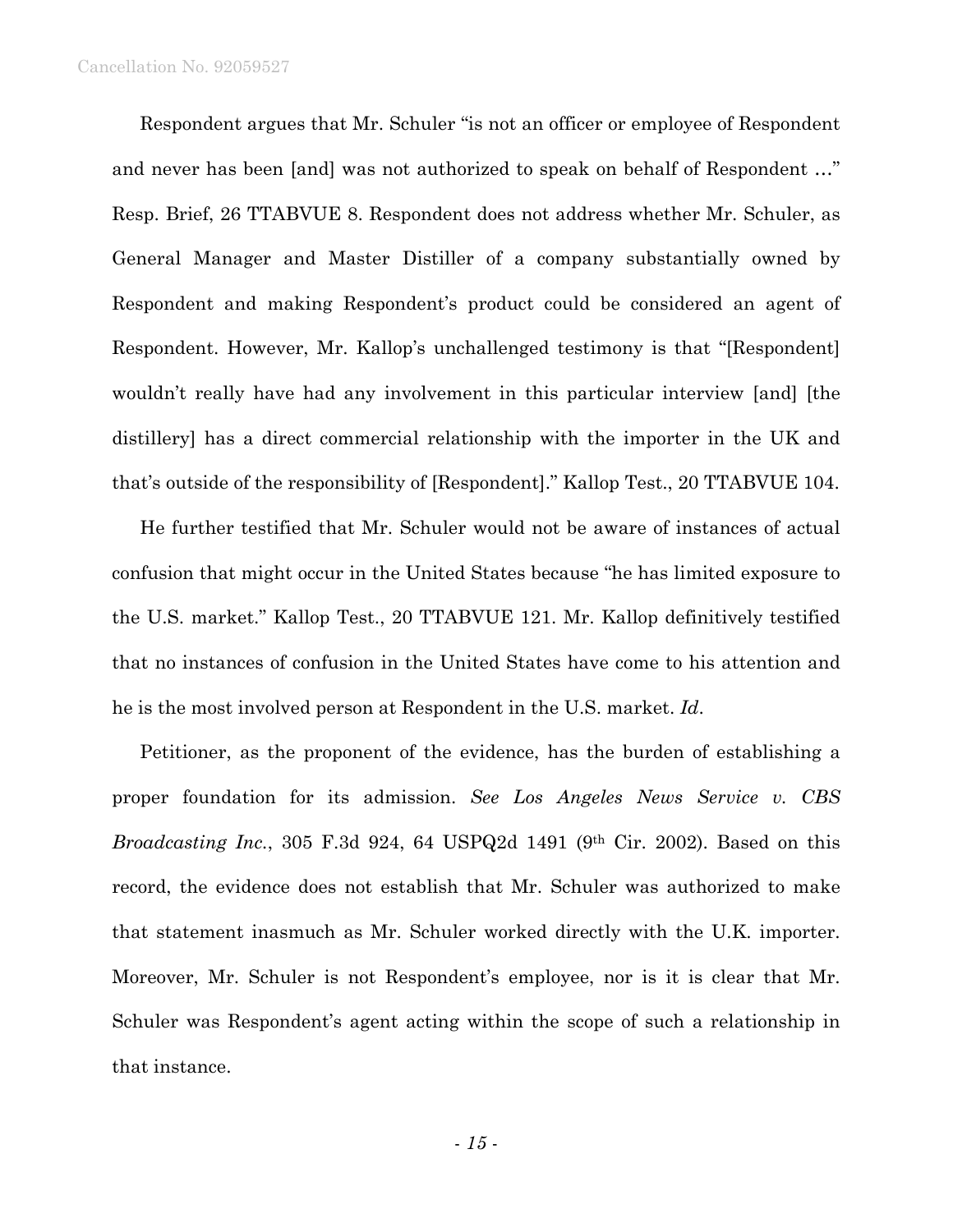#### Cancellation No. 92059527

Respondent argues that Mr. Schuler "is not an officer or employee of Respondent and never has been [and] was not authorized to speak on behalf of Respondent …" Resp. Brief, 26 TTABVUE 8. Respondent does not address whether Mr. Schuler, as General Manager and Master Distiller of a company substantially owned by Respondent and making Respondent's product could be considered an agent of Respondent. However, Mr. Kallop's unchallenged testimony is that "[Respondent] wouldn't really have had any involvement in this particular interview [and] [the distillery] has a direct commercial relationship with the importer in the UK and that's outside of the responsibility of [Respondent]." Kallop Test., 20 TTABVUE 104.

He further testified that Mr. Schuler would not be aware of instances of actual confusion that might occur in the United States because "he has limited exposure to the U.S. market." Kallop Test., 20 TTABVUE 121. Mr. Kallop definitively testified that no instances of confusion in the United States have come to his attention and he is the most involved person at Respondent in the U.S. market. *Id*.

Petitioner, as the proponent of the evidence, has the burden of establishing a proper foundation for its admission. *See Los Angeles News Service v. CBS Broadcasting Inc.*, 305 F.3d 924, 64 USPQ2d 1491 (9<sup>th</sup> Cir. 2002). Based on this record, the evidence does not establish that Mr. Schuler was authorized to make that statement inasmuch as Mr. Schuler worked directly with the U.K. importer. Moreover, Mr. Schuler is not Respondent's employee, nor is it is clear that Mr. Schuler was Respondent's agent acting within the scope of such a relationship in that instance.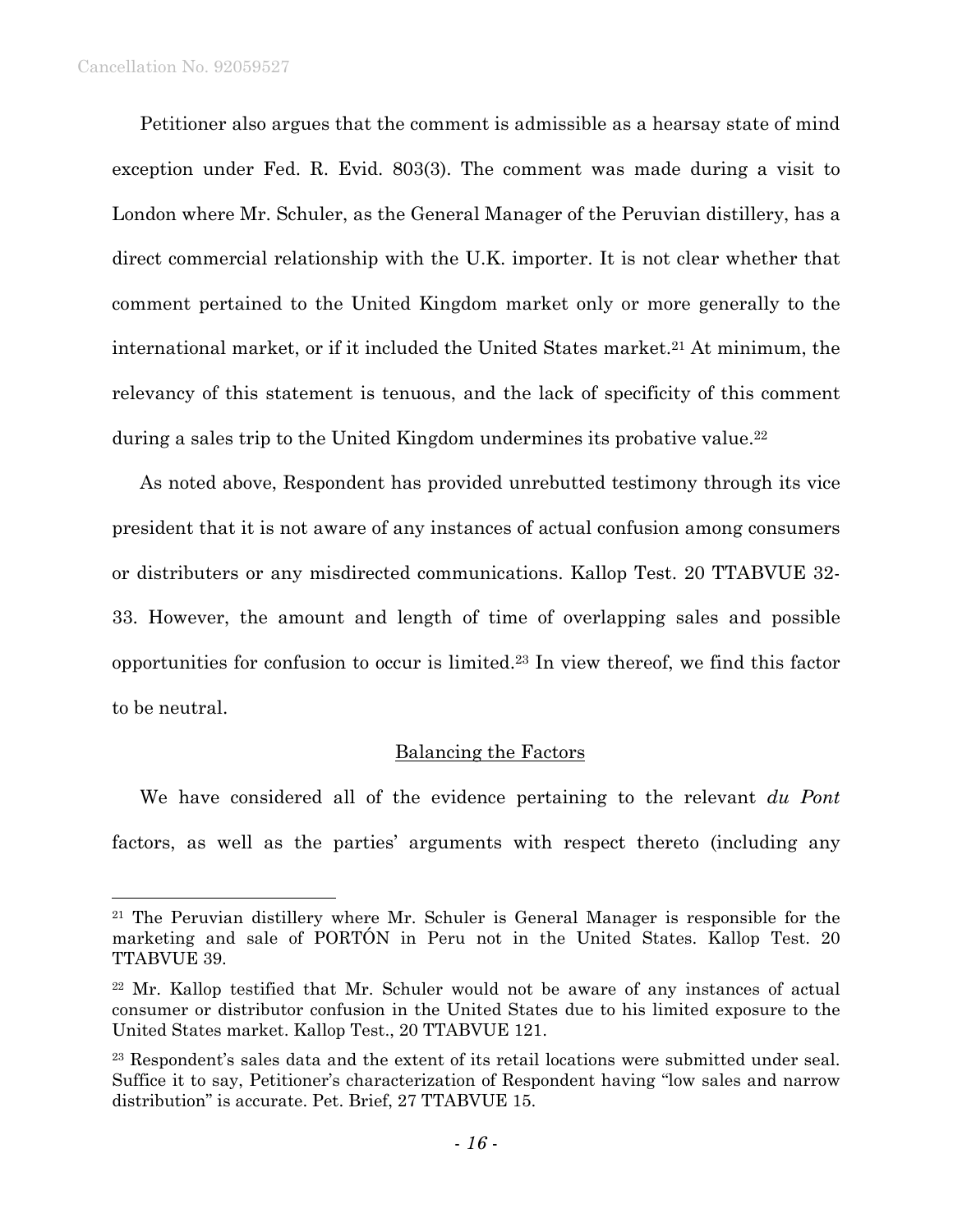#### Cancellation No. 92059527

 $\overline{a}$ 

Petitioner also argues that the comment is admissible as a hearsay state of mind exception under Fed. R. Evid. 803(3). The comment was made during a visit to London where Mr. Schuler, as the General Manager of the Peruvian distillery, has a direct commercial relationship with the U.K. importer. It is not clear whether that comment pertained to the United Kingdom market only or more generally to the international market, or if it included the United States market.<sup>21</sup> At minimum, the relevancy of this statement is tenuous, and the lack of specificity of this comment during a sales trip to the United Kingdom undermines its probative value.22

As noted above, Respondent has provided unrebutted testimony through its vice president that it is not aware of any instances of actual confusion among consumers or distributers or any misdirected communications. Kallop Test. 20 TTABVUE 32- 33. However, the amount and length of time of overlapping sales and possible opportunities for confusion to occur is limited.23 In view thereof, we find this factor to be neutral.

## Balancing the Factors

We have considered all of the evidence pertaining to the relevant *du Pont* factors, as well as the parties' arguments with respect thereto (including any

<sup>&</sup>lt;sup>21</sup> The Peruvian distillery where Mr. Schuler is General Manager is responsible for the marketing and sale of PORTÓN in Peru not in the United States. Kallop Test. 20 TTABVUE 39.

<sup>22</sup> Mr. Kallop testified that Mr. Schuler would not be aware of any instances of actual consumer or distributor confusion in the United States due to his limited exposure to the United States market. Kallop Test., 20 TTABVUE 121.

<sup>23</sup> Respondent's sales data and the extent of its retail locations were submitted under seal. Suffice it to say, Petitioner's characterization of Respondent having "low sales and narrow distribution" is accurate. Pet. Brief, 27 TTABVUE 15.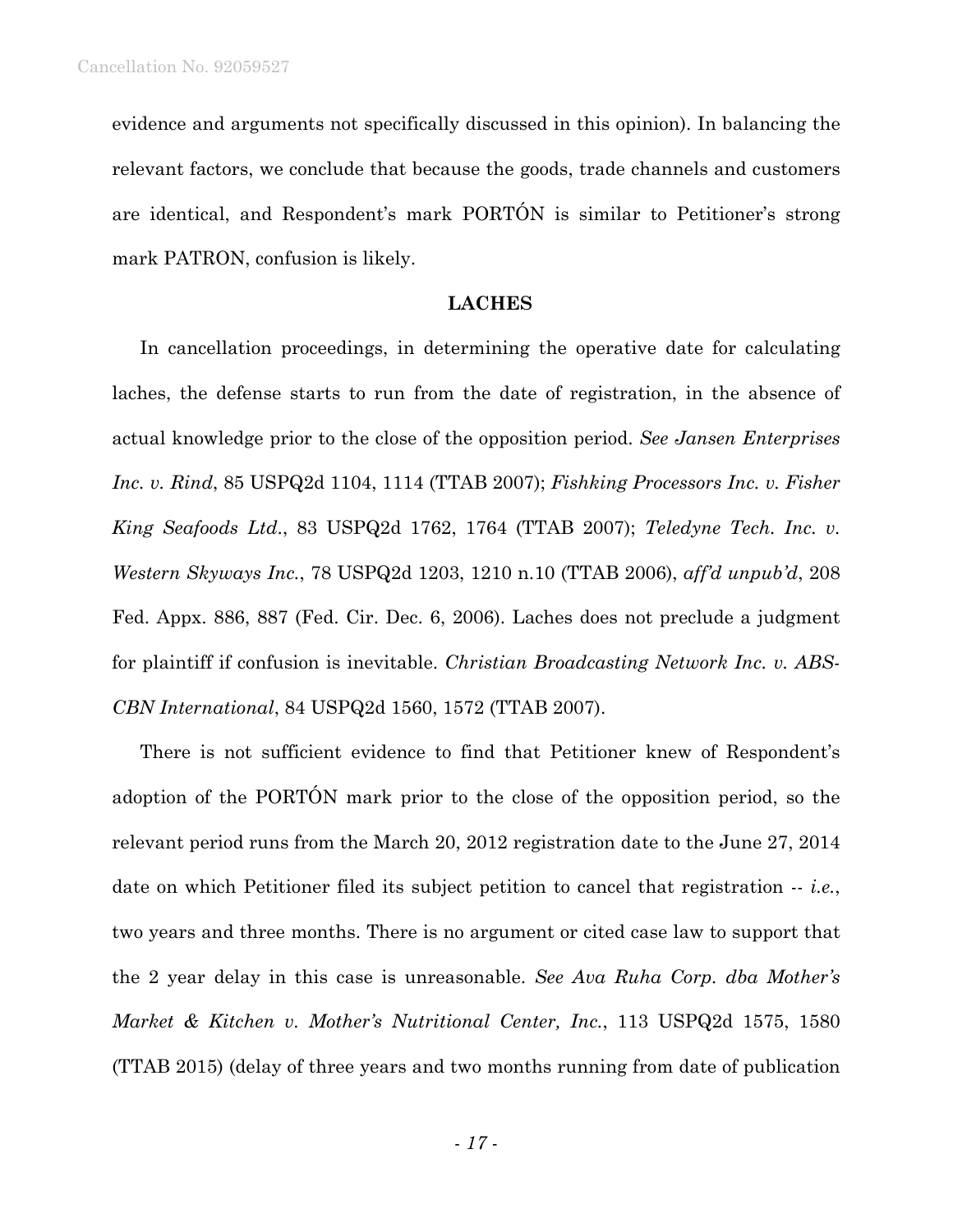evidence and arguments not specifically discussed in this opinion). In balancing the relevant factors, we conclude that because the goods, trade channels and customers are identical, and Respondent's mark PORTÓN is similar to Petitioner's strong mark PATRON, confusion is likely.

## **LACHES**

In cancellation proceedings, in determining the operative date for calculating laches, the defense starts to run from the date of registration, in the absence of actual knowledge prior to the close of the opposition period. *See Jansen Enterprises Inc. v. Rind*, 85 USPQ2d 1104, 1114 (TTAB 2007); *Fishking Processors Inc. v. Fisher King Seafoods Ltd*., 83 USPQ2d 1762, 1764 (TTAB 2007); *Teledyne Tech. Inc. v. Western Skyways Inc.*, 78 USPQ2d 1203, 1210 n.10 (TTAB 2006), *aff'd unpub'd*, 208 Fed. Appx. 886, 887 (Fed. Cir. Dec. 6, 2006). Laches does not preclude a judgment for plaintiff if confusion is inevitable. *Christian Broadcasting Network Inc. v. ABS-CBN International*, 84 USPQ2d 1560, 1572 (TTAB 2007).

There is not sufficient evidence to find that Petitioner knew of Respondent's adoption of the PORTÓN mark prior to the close of the opposition period, so the relevant period runs from the March 20, 2012 registration date to the June 27, 2014 date on which Petitioner filed its subject petition to cancel that registration -- *i.e.*, two years and three months. There is no argument or cited case law to support that the 2 year delay in this case is unreasonable. *See Ava Ruha Corp. dba Mother's Market & Kitchen v. Mother's Nutritional Center, Inc.*, 113 USPQ2d 1575, 1580 (TTAB 2015) (delay of three years and two months running from date of publication